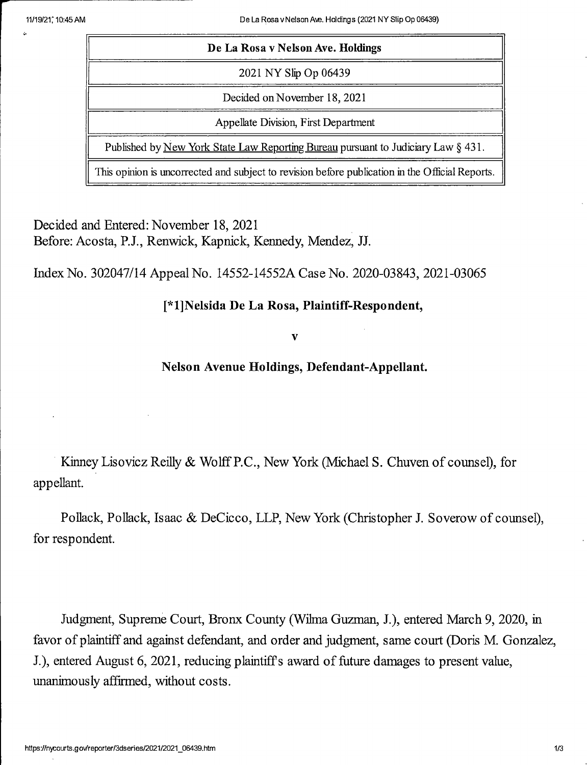11/19/21; 10:45 AM De La Rosa vNelson Ave. Holdings (2021 NY Slip Op 06439)

| De La Rosa v Nelson Ave. Holdings                                                               |
|-------------------------------------------------------------------------------------------------|
| 2021 NY Slip Op 06439                                                                           |
| Decided on November 18, 2021                                                                    |
| Appellate Division, First Department                                                            |
| Published by New York State Law Reporting Bureau pursuant to Judiciary Law § 431.               |
| This opinion is uncorrected and subject to revision before publication in the Official Reports. |

Decided and Entered: November 18, 2021 Before: Acosta, P.J., Renwick, Kapnick, Kennedy, Mendez, JJ.

Index No. 302047/14 Appeal No. 14552-14552A Case No. 2020-03843, 2021-03065

## [\*l]Nelsida De La Rosa, Plaintiff-Respondent,

V

Nelson Avenue Holdings, Defendant-Appellant.

Kinney Lisovicz Reilly & Wolff P.C., New York (Michael S. Chuven of counsel), for appellant.

Pollack, Pollack, Isaac & DeCicco, LLP, New York (Christopher J. Soverow of counsel), for respondent.

Judgment, Supreme Court, Bronx County (Wilma Guzman, J.), entered March 9, 2020, in favor of plaintiff and against defendant, and order and judgment, same court (Doris M. Gonzalez, J.), entered August 6, 2021, reducing plaintiffs award of future damages to present value, unanimously affirmed, without costs.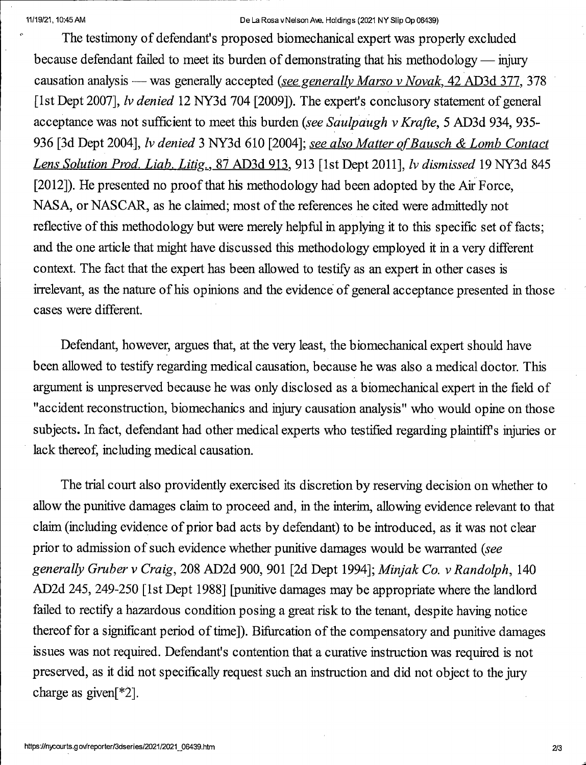## 11/19/21,10;45AM De La Rosa v Nelson Ave. Holdings (2021 NY Slip Op 06439)

The testimony of defendant's proposed biomeehanical expert was properly excluded because defendant failed to meet its burden of demonstrating that his methodology — injury causation analysis — was generally accepted (see generally Marso v Novak. 42 AD3d 377. 378 [1st Dept 2007], *lv denied* 12 NY3d 704 [2009]). The expert's conclusory statement of general acceptance was not sufficient to meet this burden (see Saulpaugh v Krafte, 5 AD3d 934, 935-936 [3d Dept 2004], *lv denied* 3 NY3d 610 [2004]; see also Matter of Bausch & Lomb Contact Lens Solution Prod. Liab. Litig., 87 AD3d 913, 913 [1st Dept 2011], lv dismissed 19 NY3d 845 [2012]). He presented no proof that his methodology had been adopted by the Air Force, NASA, or NASCAR, as he claimed; most of the references he cited were admittedly not reflective of this methodology but were merely helpful in applying it to this specific set of facts; and the one article that might have discussed this methodology employed it in a very different context. The fact that the expert has been allowed to testify as an expert in other cases is irrelevant, as the nature of his opinions and the evidence of general acceptance presented in those cases were different.

Defendant, however, argues that, at the very least, the biomeehanical expert should have been allowed to testify regarding medical causation, because he was also a medical doctor. This argument is unpreserved because he was only disclosed as a biomeehanical expert in the field of "accident reconstruction, biomechanics and injury causation analysis" who would opine on those subjects. In fact, defendant had other medical experts who testified regarding plaintiffs injuries or lack thereof, including medical causation.

The trial court also providently exercised its discretion by reserving decision on whether to allow the punitive damages claim to proceed and, in the interim, allowing evidence relevant to that claim (including evidence of prior bad acts by defendant) to be introduced, as it was not clear prior to admission of such evidence whether punitive damages would be warranted (see generally Gmber v Craig, 208 AD2d 900, 901 [2d Dept 1994]; Minjak Co. v Randolph, 140 AD2d 245, 249-250 [1st Dept 1988] [punitive damages may be appropriate where the landlord failed to reetify a hazardous eondition posing a great risk to the tenant, despite having notice thereof for a significant period of time]). Bifiarcation of the compensatory and punitive damages issues was not required. Defendant's contention that a curative instruction was required is not preserved, as it did not specifically request such an instruction and did not object to the jury charge as given[ $*2$ ].